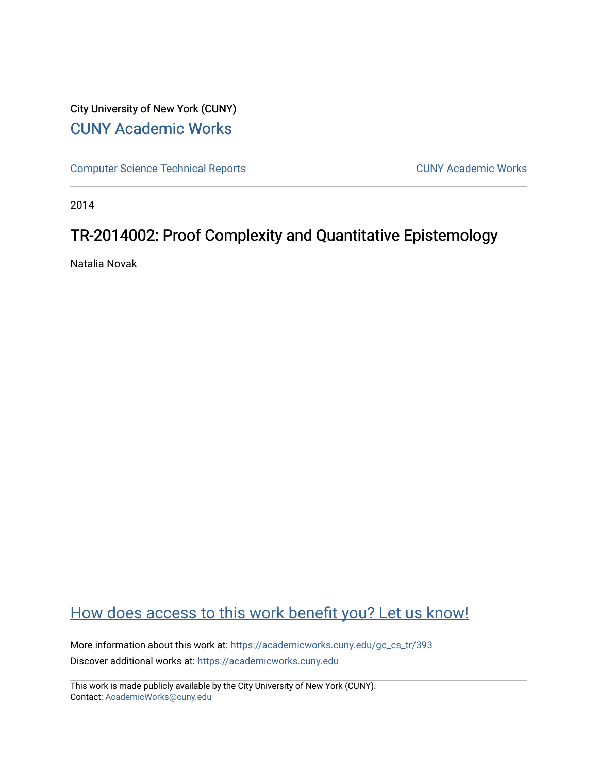## City University of New York (CUNY) [CUNY Academic Works](https://academicworks.cuny.edu/)

[Computer Science Technical Reports](https://academicworks.cuny.edu/gc_cs_tr) **CUNY Academic Works** CUNY Academic Works

2014

## TR-2014002: Proof Complexity and Quantitative Epistemology

Natalia Novak

## [How does access to this work benefit you? Let us know!](http://ols.cuny.edu/academicworks/?ref=https://academicworks.cuny.edu/gc_cs_tr/393)

More information about this work at: [https://academicworks.cuny.edu/gc\\_cs\\_tr/393](https://academicworks.cuny.edu/gc_cs_tr/393)  Discover additional works at: [https://academicworks.cuny.edu](https://academicworks.cuny.edu/?)

This work is made publicly available by the City University of New York (CUNY). Contact: [AcademicWorks@cuny.edu](mailto:AcademicWorks@cuny.edu)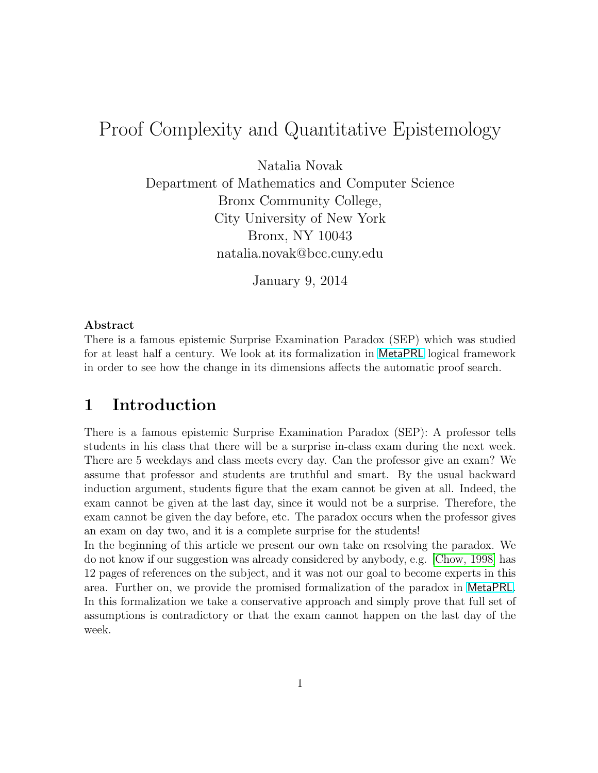# Proof Complexity and Quantitative Epistemology

Natalia Novak

Department of Mathematics and Computer Science Bronx Community College, City University of New York Bronx, NY 10043 natalia.novak@bcc.cuny.edu

January 9, 2014

#### Abstract

There is a famous epistemic Surprise Examination Paradox (SEP) which was studied for at least half a century. We look at its formalization in [MetaPRL](http://metaprl.org/) logical framework in order to see how the change in its dimensions affects the automatic proof search.

#### 1 Introduction

There is a famous epistemic Surprise Examination Paradox (SEP): A professor tells students in his class that there will be a surprise in-class exam during the next week. There are 5 weekdays and class meets every day. Can the professor give an exam? We assume that professor and students are truthful and smart. By the usual backward induction argument, students figure that the exam cannot be given at all. Indeed, the exam cannot be given at the last day, since it would not be a surprise. Therefore, the exam cannot be given the day before, etc. The paradox occurs when the professor gives an exam on day two, and it is a complete surprise for the students!

In the beginning of this article we present our own take on resolving the paradox. We do not know if our suggestion was already considered by anybody, e.g. [\[Chow, 1998\]](#page-5-0) has 12 pages of references on the subject, and it was not our goal to become experts in this area. Further on, we provide the promised formalization of the paradox in [MetaPRL](http://metaprl.org/). In this formalization we take a conservative approach and simply prove that full set of assumptions is contradictory or that the exam cannot happen on the last day of the week.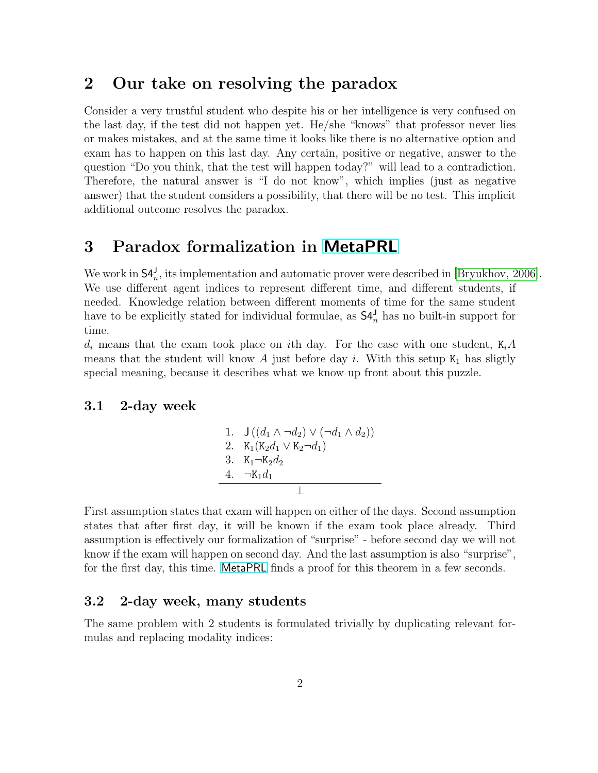#### 2 Our take on resolving the paradox

Consider a very trustful student who despite his or her intelligence is very confused on the last day, if the test did not happen yet. He/she "knows" that professor never lies or makes mistakes, and at the same time it looks like there is no alternative option and exam has to happen on this last day. Any certain, positive or negative, answer to the question "Do you think, that the test will happen today?" will lead to a contradiction. Therefore, the natural answer is "I do not know", which implies (just as negative answer) that the student considers a possibility, that there will be no test. This implicit additional outcome resolves the paradox.

### 3 Paradox formalization in [MetaPRL](http://metaprl.org/)

We work in  $\mathsf{S4}_{n}^{\mathsf{J}}$ , its implementation and automatic prover were described in [\[Bryukhov, 2006\]](#page-5-1). We use different agent indices to represent different time, and different students, if needed. Knowledge relation between different moments of time for the same student have to be explicitly stated for individual formulae, as  $S4_n^J$  has no built-in support for time.

 $d_i$  means that the exam took place on ith day. For the case with one student,  $K_iA$ means that the student will know A just before day i. With this setup  $K_1$  has sligtly special meaning, because it describes what we know up front about this puzzle.

#### 3.1 2-day week

1. 
$$
J((d_1 \wedge \neg d_2) \vee (\neg d_1 \wedge d_2))
$$
  
\n2.  $K_1(K_2d_1 \vee K_2 \neg d_1)$   
\n3.  $K_1 \neg K_2d_2$   
\n4.  $\neg K_1d_1$ 

First assumption states that exam will happen on either of the days. Second assumption states that after first day, it will be known if the exam took place already. Third assumption is effectively our formalization of "surprise" - before second day we will not know if the exam will happen on second day. And the last assumption is also "surprise", for the first day, this time. [MetaPRL](http://metaprl.org/) finds a proof for this theorem in a few seconds.

#### 3.2 2-day week, many students

The same problem with 2 students is formulated trivially by duplicating relevant formulas and replacing modality indices: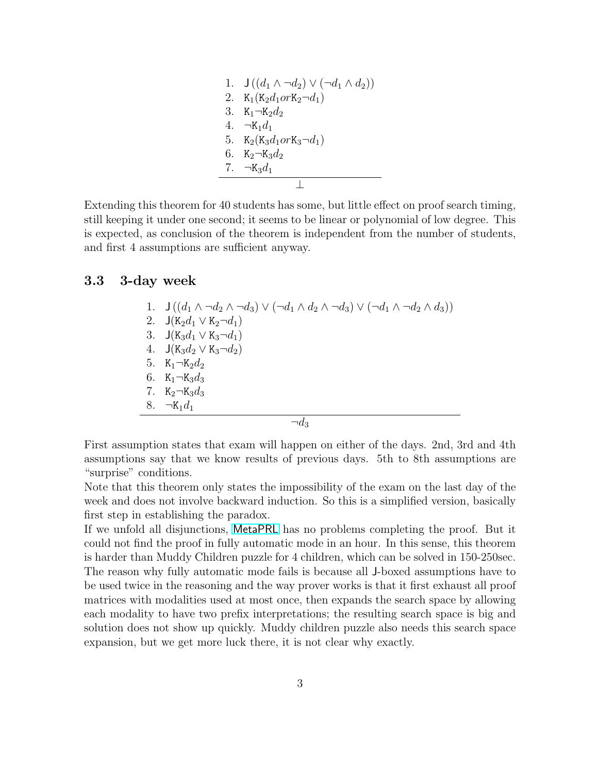1. 
$$
J((d_1 \wedge \neg d_2) \vee (\neg d_1 \wedge d_2))
$$
  
\n2.  $K_1(K_2d_1 or K_2 \neg d_1)$   
\n3.  $K_1 \neg K_2d_2$   
\n4.  $\neg K_1d_1$   
\n5.  $K_2(K_3d_1 or K_3 \neg d_1)$   
\n6.  $K_2 \neg K_3d_2$   
\n7.  $\neg K_3d_1$ 

Extending this theorem for 40 students has some, but little effect on proof search timing, still keeping it under one second; it seems to be linear or polynomial of low degree. This is expected, as conclusion of the theorem is independent from the number of students, and first 4 assumptions are sufficient anyway.

#### 3.3 3-day week

1.  $J((d_1 \wedge \neg d_2 \wedge \neg d_3) \vee (\neg d_1 \wedge d_2 \wedge \neg d_3) \vee (\neg d_1 \wedge \neg d_2 \wedge d_3))$ 2.  $J(K_2d_1 \vee K_2 \neg d_1)$ 3.  $J(K_3d_1 \vee K_3 \neg d_1)$ 4.  $J(K_3d_2 \vee K_3 \neg d_2)$ 5.  $K_1 \neg K_2 d_2$ 6.  $K_1 \neg K_3 d_3$ 7.  $K_2 \neg K_3 d_3$ 8.  $\neg K_1 d_1$ 

 $\neg d_3$ 

First assumption states that exam will happen on either of the days. 2nd, 3rd and 4th assumptions say that we know results of previous days. 5th to 8th assumptions are "surprise" conditions.

Note that this theorem only states the impossibility of the exam on the last day of the week and does not involve backward induction. So this is a simplified version, basically first step in establishing the paradox.

If we unfold all disjunctions, [MetaPRL](http://metaprl.org/) has no problems completing the proof. But it could not find the proof in fully automatic mode in an hour. In this sense, this theorem is harder than Muddy Children puzzle for 4 children, which can be solved in 150-250sec. The reason why fully automatic mode fails is because all J-boxed assumptions have to be used twice in the reasoning and the way prover works is that it first exhaust all proof matrices with modalities used at most once, then expands the search space by allowing each modality to have two prefix interpretations; the resulting search space is big and solution does not show up quickly. Muddy children puzzle also needs this search space expansion, but we get more luck there, it is not clear why exactly.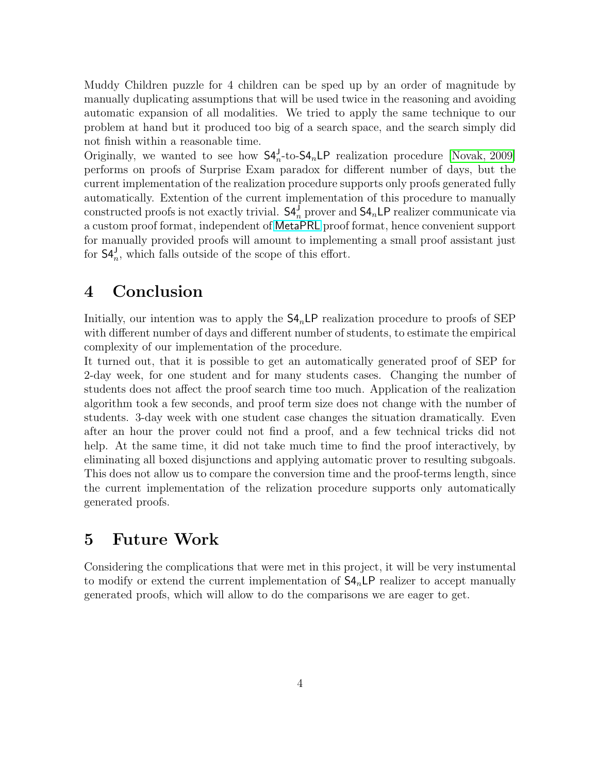Muddy Children puzzle for 4 children can be sped up by an order of magnitude by manually duplicating assumptions that will be used twice in the reasoning and avoiding automatic expansion of all modalities. We tried to apply the same technique to our problem at hand but it produced too big of a search space, and the search simply did not finish within a reasonable time.

Originally, we wanted to see how  $S4_n^{\text{J}}$ -to- $S4_n$ LP realization procedure [\[Novak, 2009\]](#page-6-0) performs on proofs of Surprise Exam paradox for different number of days, but the current implementation of the realization procedure supports only proofs generated fully automatically. Extention of the current implementation of this procedure to manually constructed proofs is not exactly trivial.  $\mathsf{S4}_{n}^{\mathsf{J}}$  prover and  $\mathsf{S4}_{n}\mathsf{LP}$  realizer communicate via a custom proof format, independent of [MetaPRL](http://metaprl.org/) proof format, hence convenient support for manually provided proofs will amount to implementing a small proof assistant just for  $\mathsf{S4}_{n}^{\mathsf{J}}$ , which falls outside of the scope of this effort.

### 4 Conclusion

Initially, our intention was to apply the  $\mathsf{S4}_n\mathsf{LP}$  realization procedure to proofs of SEP with different number of days and different number of students, to estimate the empirical complexity of our implementation of the procedure.

It turned out, that it is possible to get an automatically generated proof of SEP for 2-day week, for one student and for many students cases. Changing the number of students does not affect the proof search time too much. Application of the realization algorithm took a few seconds, and proof term size does not change with the number of students. 3-day week with one student case changes the situation dramatically. Even after an hour the prover could not find a proof, and a few technical tricks did not help. At the same time, it did not take much time to find the proof interactively, by eliminating all boxed disjunctions and applying automatic prover to resulting subgoals. This does not allow us to compare the conversion time and the proof-terms length, since the current implementation of the relization procedure supports only automatically generated proofs.

## 5 Future Work

Considering the complications that were met in this project, it will be very instumental to modify or extend the current implementation of  $S4<sub>n</sub>LP$  realizer to accept manually generated proofs, which will allow to do the comparisons we are eager to get.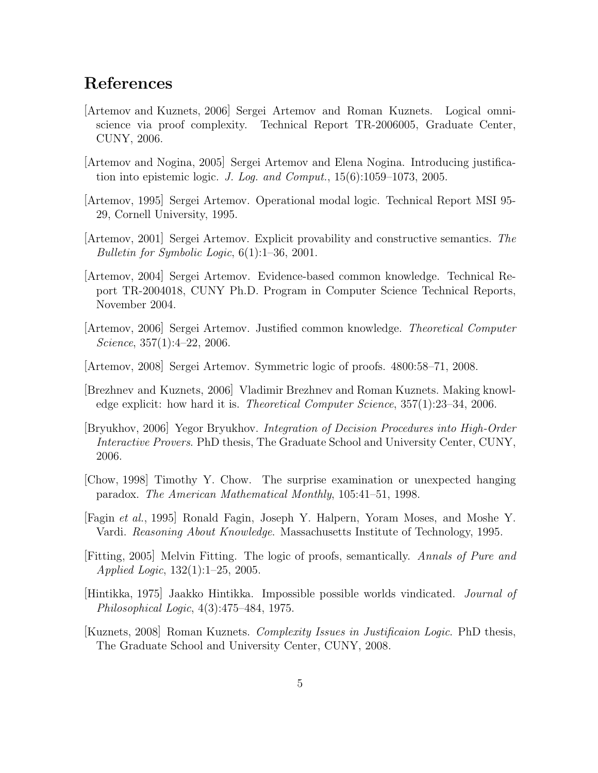### References

- [Artemov and Kuznets, 2006] Sergei Artemov and Roman Kuznets. Logical omniscience via proof complexity. Technical Report TR-2006005, Graduate Center, CUNY, 2006.
- [Artemov and Nogina, 2005] Sergei Artemov and Elena Nogina. Introducing justification into epistemic logic. J. Log. and Comput., 15(6):1059–1073, 2005.
- [Artemov, 1995] Sergei Artemov. Operational modal logic. Technical Report MSI 95- 29, Cornell University, 1995.
- [Artemov, 2001] Sergei Artemov. Explicit provability and constructive semantics. The Bulletin for Symbolic Logic, 6(1):1–36, 2001.
- [Artemov, 2004] Sergei Artemov. Evidence-based common knowledge. Technical Report TR-2004018, CUNY Ph.D. Program in Computer Science Technical Reports, November 2004.
- [Artemov, 2006] Sergei Artemov. Justified common knowledge. Theoretical Computer Science,  $357(1):4-22$ ,  $2006$ .
- [Artemov, 2008] Sergei Artemov. Symmetric logic of proofs. 4800:58–71, 2008.
- [Brezhnev and Kuznets, 2006] Vladimir Brezhnev and Roman Kuznets. Making knowledge explicit: how hard it is. Theoretical Computer Science, 357(1):23–34, 2006.
- <span id="page-5-1"></span>[Bryukhov, 2006] Yegor Bryukhov. Integration of Decision Procedures into High-Order Interactive Provers. PhD thesis, The Graduate School and University Center, CUNY, 2006.
- <span id="page-5-0"></span>[Chow, 1998] Timothy Y. Chow. The surprise examination or unexpected hanging paradox. The American Mathematical Monthly, 105:41–51, 1998.
- [Fagin et al., 1995] Ronald Fagin, Joseph Y. Halpern, Yoram Moses, and Moshe Y. Vardi. Reasoning About Knowledge. Massachusetts Institute of Technology, 1995.
- [Fitting, 2005] Melvin Fitting. The logic of proofs, semantically. Annals of Pure and Applied Logic, 132(1):1–25, 2005.
- [Hintikka, 1975] Jaakko Hintikka. Impossible possible worlds vindicated. Journal of Philosophical Logic, 4(3):475–484, 1975.
- [Kuznets, 2008] Roman Kuznets. Complexity Issues in Justificaion Logic. PhD thesis, The Graduate School and University Center, CUNY, 2008.